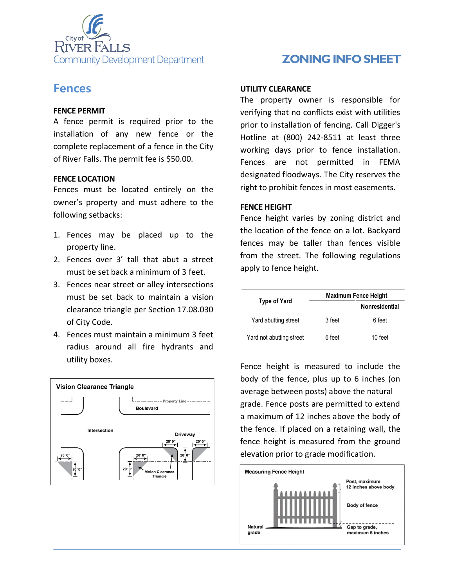

# **Fences**

### **FENCE PERMIT**

A fence permit is required prior to the installation of any new fence or the complete replacement of a fence in the City of River Falls. The permit fee is \$50.00.

### **FENCE LOCATION**

Fences must be located entirely on the owner's property and must adhere to the following setbacks:

- 1. Fences may be placed up to the property line.
- 2. Fences over 3' tall that abut a street must be set back a minimum of 3 feet.
- 3. Fences near street or alley intersections must be set back to maintain a vision clearance triangle per Section 17.08.030 of City Code.
- 4. Fences must maintain a minimum 3 feet radius around all fire hydrants and utility boxes.



#### **UTILITY CLEARANCE**

The property owner is responsible for verifying that no conflicts exist with utilities prior to installation of fencing. Call Digger's Hotline at (800) 242-8511 at least three working days prior to fence installation. Fences are not permitted in FEMA designated floodways. The City reserves the right to prohibit fences in most easements.

### **FENCE HEIGHT**

Fence height varies by zoning district and the location of the fence on a lot. Backyard fences may be taller than fences visible from the street. The following regulations apply to fence height.

| Type of Yard             | <b>Maximum Fence Height</b> |                       |
|--------------------------|-----------------------------|-----------------------|
|                          |                             | <b>Nonresidential</b> |
| Yard abutting street     | 3 feet                      | 6 feet                |
| Yard not abutting street | 6 feet                      | 10 feet               |

Fence height is measured to include the body of the fence, plus up to 6 inches (on average between posts) above the natural grade. Fence posts are permitted to extend a maximum of 12 inches above the body of the fence. If placed on a retaining wall, the fence height is measured from the ground elevation prior to grade modification.

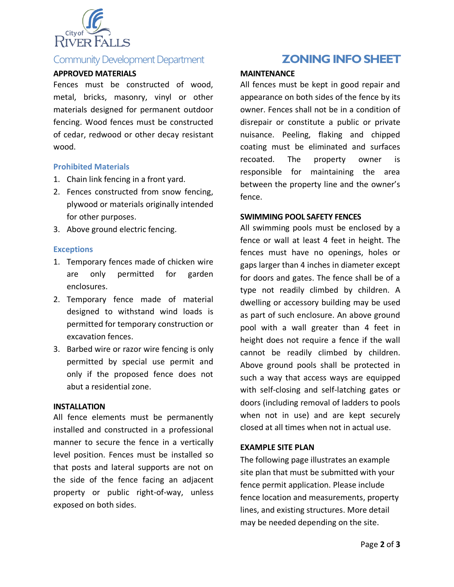

# Community Development Department **Law Manual Community Development Department ZONING INFO SHEET**

#### **APPROVED MATERIALS**

Fences must be constructed of wood, metal, bricks, masonry, vinyl or other materials designed for permanent outdoor fencing. Wood fences must be constructed of cedar, redwood or other decay resistant wood.

#### **Prohibited Materials**

- 1. Chain link fencing in a front yard.
- 2. Fences constructed from snow fencing, plywood or materials originally intended for other purposes.
- 3. Above ground electric fencing.

#### **Exceptions**

- 1. Temporary fences made of chicken wire are only permitted for garden enclosures.
- 2. Temporary fence made of material designed to withstand wind loads is permitted for temporary construction or excavation fences.
- 3. Barbed wire or razor wire fencing is only permitted by special use permit and only if the proposed fence does not abut a residential zone.

#### **INSTALLATION**

All fence elements must be permanently installed and constructed in a professional manner to secure the fence in a vertically level position. Fences must be installed so that posts and lateral supports are not on the side of the fence facing an adjacent property or public right-of-way, unless exposed on both sides.

#### **MAINTENANCE**

All fences must be kept in good repair and appearance on both sides of the fence by its owner. Fences shall not be in a condition of disrepair or constitute a public or private nuisance. Peeling, flaking and chipped coating must be eliminated and surfaces recoated. The property owner is responsible for maintaining the area between the property line and the owner's fence.

#### **SWIMMING POOL SAFETY FENCES**

All swimming pools must be enclosed by a fence or wall at least 4 feet in height. The fences must have no openings, holes or gaps larger than 4 inches in diameter except for doors and gates. The fence shall be of a type not readily climbed by children. A dwelling or accessory building may be used as part of such enclosure. An above ground pool with a wall greater than 4 feet in height does not require a fence if the wall cannot be readily climbed by children. Above ground pools shall be protected in such a way that access ways are equipped with self-closing and self-latching gates or doors (including removal of ladders to pools when not in use) and are kept securely closed at all times when not in actual use.

#### **EXAMPLE SITE PLAN**

The following page illustrates an example site plan that must be submitted with your fence permit application. Please include fence location and measurements, property lines, and existing structures. More detail may be needed depending on the site.